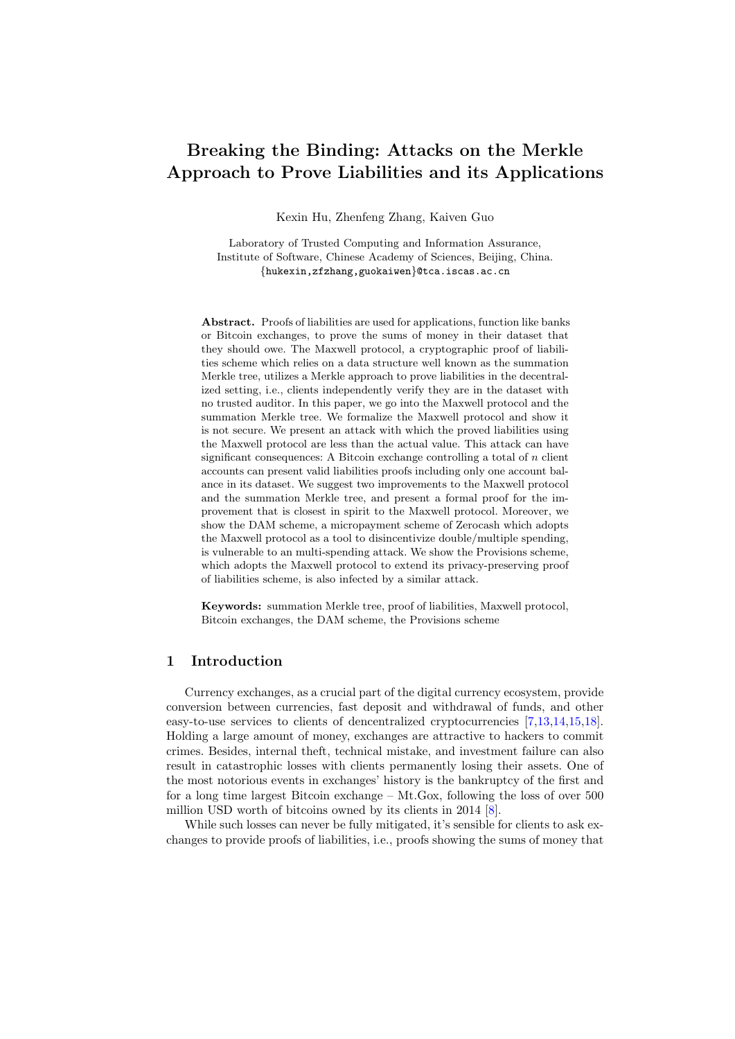# <span id="page-0-0"></span>Breaking the Binding: Attacks on the Merkle Approach to Prove Liabilities and its Applications

Kexin Hu, Zhenfeng Zhang, Kaiven Guo

Laboratory of Trusted Computing and Information Assurance, Institute of Software, Chinese Academy of Sciences, Beijing, China. {hukexin,zfzhang,guokaiwen}@tca.iscas.ac.cn

Abstract. Proofs of liabilities are used for applications, function like banks or Bitcoin exchanges, to prove the sums of money in their dataset that they should owe. The Maxwell protocol, a cryptographic proof of liabilities scheme which relies on a data structure well known as the summation Merkle tree, utilizes a Merkle approach to prove liabilities in the decentralized setting, i.e., clients independently verify they are in the dataset with no trusted auditor. In this paper, we go into the Maxwell protocol and the summation Merkle tree. We formalize the Maxwell protocol and show it is not secure. We present an attack with which the proved liabilities using the Maxwell protocol are less than the actual value. This attack can have significant consequences: A Bitcoin exchange controlling a total of  $n$  client accounts can present valid liabilities proofs including only one account balance in its dataset. We suggest two improvements to the Maxwell protocol and the summation Merkle tree, and present a formal proof for the improvement that is closest in spirit to the Maxwell protocol. Moreover, we show the DAM scheme, a micropayment scheme of Zerocash which adopts the Maxwell protocol as a tool to disincentivize double/multiple spending, is vulnerable to an multi-spending attack. We show the Provisions scheme, which adopts the Maxwell protocol to extend its privacy-preserving proof of liabilities scheme, is also infected by a similar attack.

Keywords: summation Merkle tree, proof of liabilities, Maxwell protocol, Bitcoin exchanges, the DAM scheme, the Provisions scheme

# 1 Introduction

Currency exchanges, as a crucial part of the digital currency ecosystem, provide conversion between currencies, fast deposit and withdrawal of funds, and other easy-to-use services to clients of dencentralized cryptocurrencies [\[7,](#page-15-0)[13,](#page-16-0)[14,](#page-16-1)[15,](#page-16-2)[18\]](#page-16-3). Holding a large amount of money, exchanges are attractive to hackers to commit crimes. Besides, internal theft, technical mistake, and investment failure can also result in catastrophic losses with clients permanently losing their assets. One of the most notorious events in exchanges' history is the bankruptcy of the first and for a long time largest Bitcoin exchange – Mt.Gox, following the loss of over 500 million USD worth of bitcoins owned by its clients in 2014 [\[8\]](#page-15-1).

While such losses can never be fully mitigated, it's sensible for clients to ask exchanges to provide proofs of liabilities, i.e., proofs showing the sums of money that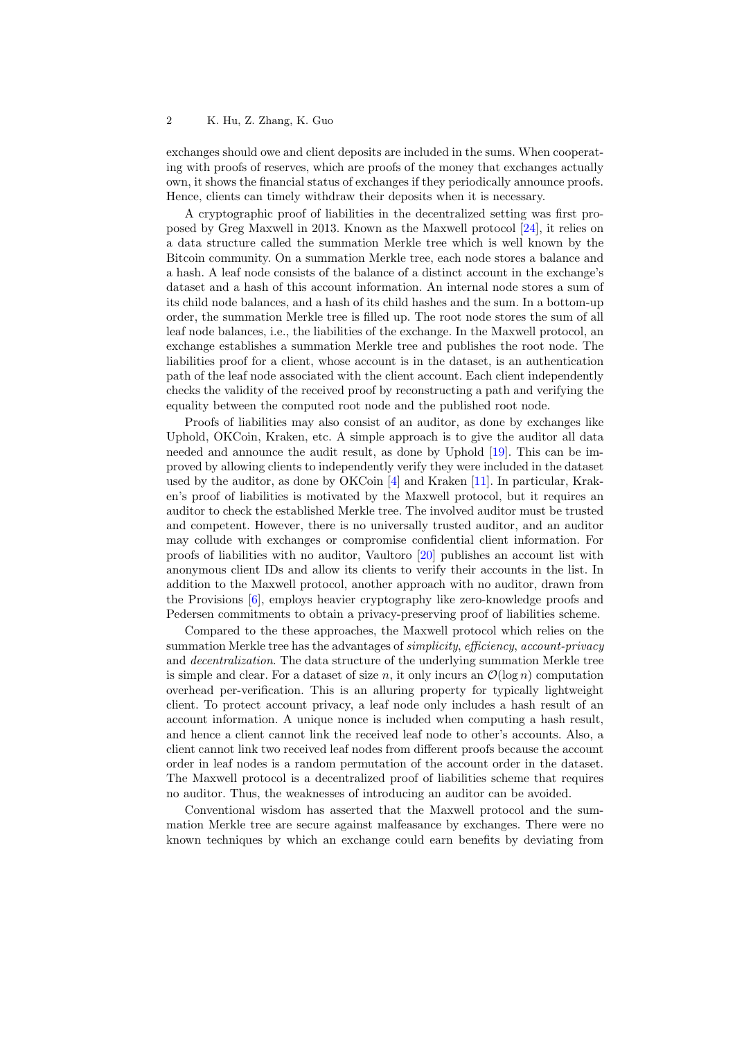exchanges should owe and client deposits are included in the sums. When cooperating with proofs of reserves, which are proofs of the money that exchanges actually own, it shows the financial status of exchanges if they periodically announce proofs. Hence, clients can timely withdraw their deposits when it is necessary.

A cryptographic proof of liabilities in the decentralized setting was first proposed by Greg Maxwell in 2013. Known as the Maxwell protocol [\[24\]](#page-16-4), it relies on a data structure called the summation Merkle tree which is well known by the Bitcoin community. On a summation Merkle tree, each node stores a balance and a hash. A leaf node consists of the balance of a distinct account in the exchange's dataset and a hash of this account information. An internal node stores a sum of its child node balances, and a hash of its child hashes and the sum. In a bottom-up order, the summation Merkle tree is filled up. The root node stores the sum of all leaf node balances, i.e., the liabilities of the exchange. In the Maxwell protocol, an exchange establishes a summation Merkle tree and publishes the root node. The liabilities proof for a client, whose account is in the dataset, is an authentication path of the leaf node associated with the client account. Each client independently checks the validity of the received proof by reconstructing a path and verifying the equality between the computed root node and the published root node.

Proofs of liabilities may also consist of an auditor, as done by exchanges like Uphold, OKCoin, Kraken, etc. A simple approach is to give the auditor all data needed and announce the audit result, as done by Uphold [\[19\]](#page-16-5). This can be improved by allowing clients to independently verify they were included in the dataset used by the auditor, as done by OKCoin [\[4\]](#page-15-2) and Kraken [\[11\]](#page-15-3). In particular, Kraken's proof of liabilities is motivated by the Maxwell protocol, but it requires an auditor to check the established Merkle tree. The involved auditor must be trusted and competent. However, there is no universally trusted auditor, and an auditor may collude with exchanges or compromise confidential client information. For proofs of liabilities with no auditor, Vaultoro [\[20\]](#page-16-6) publishes an account list with anonymous client IDs and allow its clients to verify their accounts in the list. In addition to the Maxwell protocol, another approach with no auditor, drawn from the Provisions [\[6\]](#page-15-4), employs heavier cryptography like zero-knowledge proofs and Pedersen commitments to obtain a privacy-preserving proof of liabilities scheme.

Compared to the these approaches, the Maxwell protocol which relies on the summation Merkle tree has the advantages of *simplicity, efficiency, account-privacy* and decentralization. The data structure of the underlying summation Merkle tree is simple and clear. For a dataset of size n, it only incurs an  $\mathcal{O}(\log n)$  computation overhead per-verification. This is an alluring property for typically lightweight client. To protect account privacy, a leaf node only includes a hash result of an account information. A unique nonce is included when computing a hash result, and hence a client cannot link the received leaf node to other's accounts. Also, a client cannot link two received leaf nodes from different proofs because the account order in leaf nodes is a random permutation of the account order in the dataset. The Maxwell protocol is a decentralized proof of liabilities scheme that requires no auditor. Thus, the weaknesses of introducing an auditor can be avoided.

Conventional wisdom has asserted that the Maxwell protocol and the summation Merkle tree are secure against malfeasance by exchanges. There were no known techniques by which an exchange could earn benefits by deviating from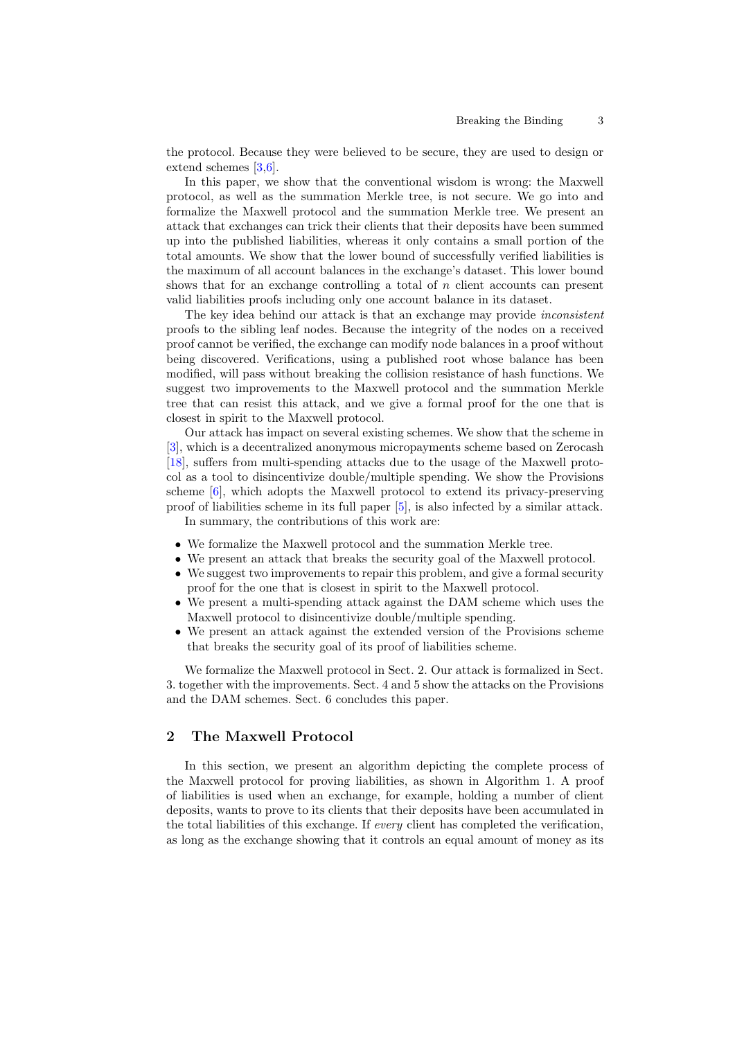the protocol. Because they were believed to be secure, they are used to design or extend schemes [\[3,](#page-15-5)[6\]](#page-15-4).

In this paper, we show that the conventional wisdom is wrong: the Maxwell protocol, as well as the summation Merkle tree, is not secure. We go into and formalize the Maxwell protocol and the summation Merkle tree. We present an attack that exchanges can trick their clients that their deposits have been summed up into the published liabilities, whereas it only contains a small portion of the total amounts. We show that the lower bound of successfully verified liabilities is the maximum of all account balances in the exchange's dataset. This lower bound shows that for an exchange controlling a total of n client accounts can present valid liabilities proofs including only one account balance in its dataset.

The key idea behind our attack is that an exchange may provide inconsistent proofs to the sibling leaf nodes. Because the integrity of the nodes on a received proof cannot be verified, the exchange can modify node balances in a proof without being discovered. Verifications, using a published root whose balance has been modified, will pass without breaking the collision resistance of hash functions. We suggest two improvements to the Maxwell protocol and the summation Merkle tree that can resist this attack, and we give a formal proof for the one that is closest in spirit to the Maxwell protocol.

Our attack has impact on several existing schemes. We show that the scheme in [\[3\]](#page-15-5), which is a decentralized anonymous micropayments scheme based on Zerocash [\[18\]](#page-16-3), suffers from multi-spending attacks due to the usage of the Maxwell protocol as a tool to disincentivize double/multiple spending. We show the Provisions scheme [\[6\]](#page-15-4), which adopts the Maxwell protocol to extend its privacy-preserving proof of liabilities scheme in its full paper [\[5\]](#page-15-6), is also infected by a similar attack. In summary, the contributions of this work are:

- We formalize the Maxwell protocol and the summation Merkle tree.
- We present an attack that breaks the security goal of the Maxwell protocol.
- We suggest two improvements to repair this problem, and give a formal security proof for the one that is closest in spirit to the Maxwell protocol.
- We present a multi-spending attack against the DAM scheme which uses the Maxwell protocol to disincentivize double/multiple spending.
- We present an attack against the extended version of the Provisions scheme that breaks the security goal of its proof of liabilities scheme.

We formalize the Maxwell protocol in Sect. 2. Our attack is formalized in Sect. 3. together with the improvements. Sect. 4 and 5 show the attacks on the Provisions and the DAM schemes. Sect. 6 concludes this paper.

# 2 The Maxwell Protocol

In this section, we present an algorithm depicting the complete process of the Maxwell protocol for proving liabilities, as shown in Algorithm 1. A proof of liabilities is used when an exchange, for example, holding a number of client deposits, wants to prove to its clients that their deposits have been accumulated in the total liabilities of this exchange. If every client has completed the verification, as long as the exchange showing that it controls an equal amount of money as its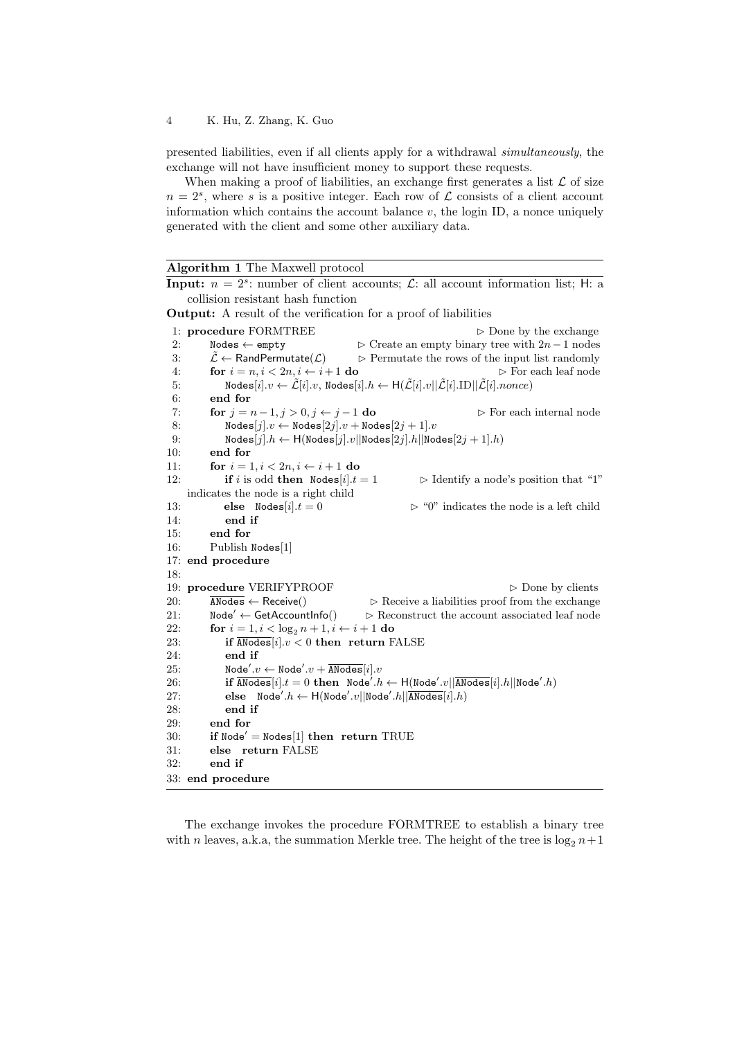presented liabilities, even if all clients apply for a withdrawal simultaneously, the exchange will not have insufficient money to support these requests.

When making a proof of liabilities, an exchange first generates a list  $\mathcal L$  of size  $n = 2<sup>s</sup>$ , where s is a positive integer. Each row of  $\mathcal L$  consists of a client account information which contains the account balance  $v$ , the login ID, a nonce uniquely generated with the client and some other auxiliary data.

| <b>Algorithm 1</b> The Maxwell protocol |  |  |  |  |
|-----------------------------------------|--|--|--|--|
|-----------------------------------------|--|--|--|--|

**Input:**  $n = 2^s$ : number of client accounts;  $\mathcal{L}$ : all account information list; H: a collision resistant hash function

Output: A result of the verification for a proof of liabilities

1: **procedure FORMTREE**  $\triangleright$  Done by the exchange 2: Nodes ← empty  $\triangleright$  Create an empty binary tree with  $2n-1$  nodes 3:  $\tilde{\mathcal{L}} \leftarrow \text{RandPermutate}(\mathcal{L}) \Rightarrow \text{Permutate the rows of the input list randomly}$ 4: for  $i = n, i < 2n, i \leftarrow i+1$  do  $\triangleright$  For each leaf node 5: Nodes $[i].v \leftarrow \tilde{\mathcal{L}}[i].v$ , Nodes $[i].h \leftarrow H(\tilde{\mathcal{L}}[i].v||\tilde{\mathcal{L}}[i].ID||\tilde{\mathcal{L}}[i].nonce)$ 6: end for 7: for  $j = n - 1, j > 0, j \leftarrow j - 1$  do  $\triangleright$  For each internal node 8:  $\text{Nodes}[j].v \leftarrow \text{Nodes}[2j].v + \text{Nodes}[2j+1].v$ 9: Nodes $[j].h \leftarrow H(\text{Nodes}[j].v||\text{Nodes}[2j].h||\text{Nodes}[2j+1].h)$ 10: end for 11: **for**  $i = 1, i < 2n, i \leftarrow i + 1$  do 12: **if** i is odd **then** Nodes [i].t = 1  $\triangleright$  Identify a node's position that "1" indicates the node is a right child 13: **else**  $\text{Nodes}[i].t = 0$   $\triangleright$  "0" indicates the node is a left child 14: end if 15: end for 16: Publish Nodes[1] 17: end procedure 18: 19: procedure VERIFYPROOF  $\triangleright$  Done by clients 20:  $\overline{\text{Andes}} \leftarrow \text{Receive}() \qquad \Rightarrow \text{Receive a liabilities proof from the exchange}$ 21: Node<sup> $\angle$ </sup> ← GetAccountInfo()  $\Rightarrow$  Reconstruct the account associated leaf node 22: for  $i = 1, i < \log_2 n + 1, i \leftarrow i + 1$  do<br>
23: if  $\overline{\text{AModes}}[i].v < 0$  then return F 23: if  $\overline{\text{AModes}}[i].v < 0$  then return FALSE<br>24: end if end if 25: Node'. $v \leftarrow$ Node'. $v + \overline{\text{ANodes}}[i].v$ 26: **if**  $\overline{\text{ANodes}}[i].t = 0$  then  $\text{Node}'.h \leftarrow \text{H}(\text{Node}'.v||\overline{\text{ANodes}}[i].h||\text{Node}'.h)$ 27: else Node'. $h \leftarrow H(\text{Node}'.v||\text{Node}'.h||\overline{\text{ANodes}}[i].h)$ 28: end if 29: end for 30: if  $\text{Node}' = \text{Nodes}[1]$  then return TRUE 31: else return FALSE 32: end if 33: end procedure

The exchange invokes the procedure FORMTREE to establish a binary tree with n leaves, a.k.a, the summation Merkle tree. The height of the tree is  $\log_2 n+1$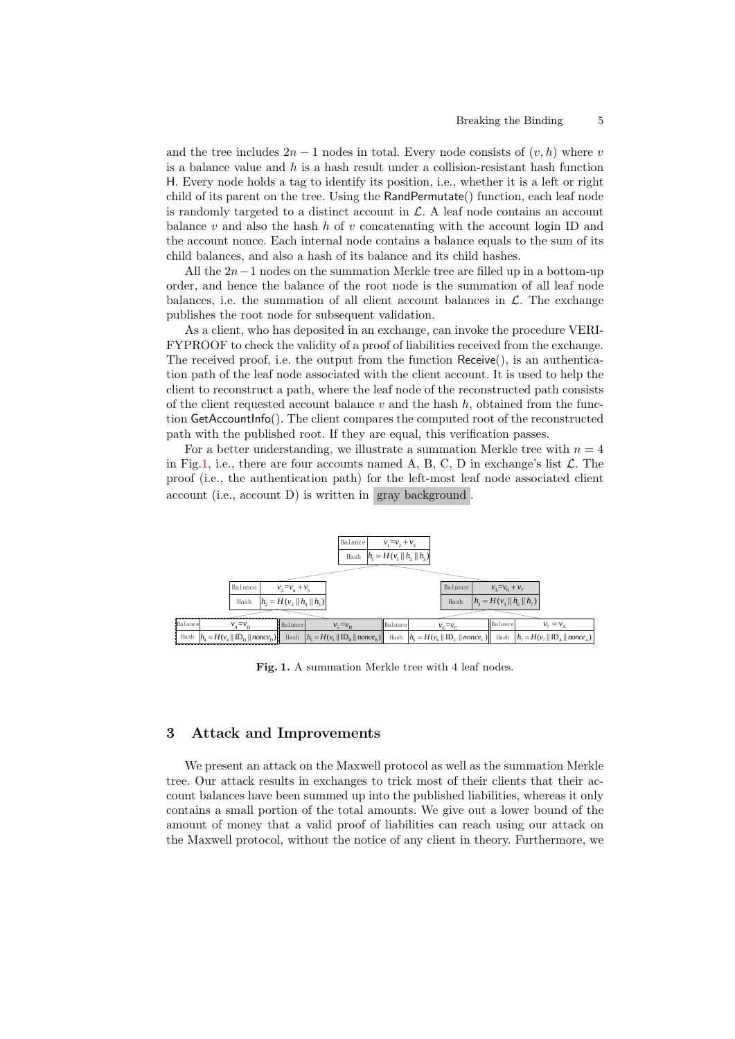and the tree includes  $2n - 1$  nodes in total. Every node consists of  $(v, h)$  where v is a balance value and  $h$  is a hash result under a collision-resistant hash function H. Every node holds a tag to identify its position, i.e., whether it is a left or right child of its parent on the tree. Using the RandPermutate() function, each leaf node is randomly targeted to a distinct account in  $\mathcal{L}$ . A leaf node contains an account balance  $v$  and also the hash  $h$  of  $v$  concatenating with the account login ID and the account nonce. Each internal node contains a balance equals to the sum of its child balances, and also a hash of its balance and its child hashes.

All the  $2n-1$  nodes on the summation Merkle tree are filled up in a bottom-up order, and hence the balance of the root node is the summation of all leaf node balances, i.e. the summation of all client account balances in  $\mathcal{L}$ . The exchange publishes the root node for subsequent validation.

As a client, who has deposited in an exchange, can invoke the procedure VERI-FYPROOF to check the validity of a proof of liabilities received from the exchange. The received proof, i.e. the output from the function Receive(), is an authentication path of the leaf node associated with the client account. It is used to help the client to reconstruct a path, where the leaf node of the reconstructed path consists of the client requested account balance  $v$  and the hash  $h$ , obtained from the function GetAccountInfo(). The client compares the computed root of the reconstructed path with the published root. If they are equal, this verification passes.

For a better understanding, we illustrate a summation Merkle tree with  $n = 4$ in Fig[.1,](#page-4-0) i.e., there are four accounts named A, B, C, D in exchange's list  $\mathcal{L}$ . The proof (i.e., the authentication path) for the left-most leaf node associated client account (i.e., account D) is written in gray background .



<span id="page-4-0"></span>Fig. 1. A summation Merkle tree with 4 leaf nodes.

# 3 Attack and Improvements

We present an attack on the Maxwell protocol as well as the summation Merkle tree. Our attack results in exchanges to trick most of their clients that their account balances have been summed up into the published liabilities, whereas it only contains a small portion of the total amounts. We give out a lower bound of the amount of money that a valid proof of liabilities can reach using our attack on the Maxwell protocol, without the notice of any client in theory. Furthermore, we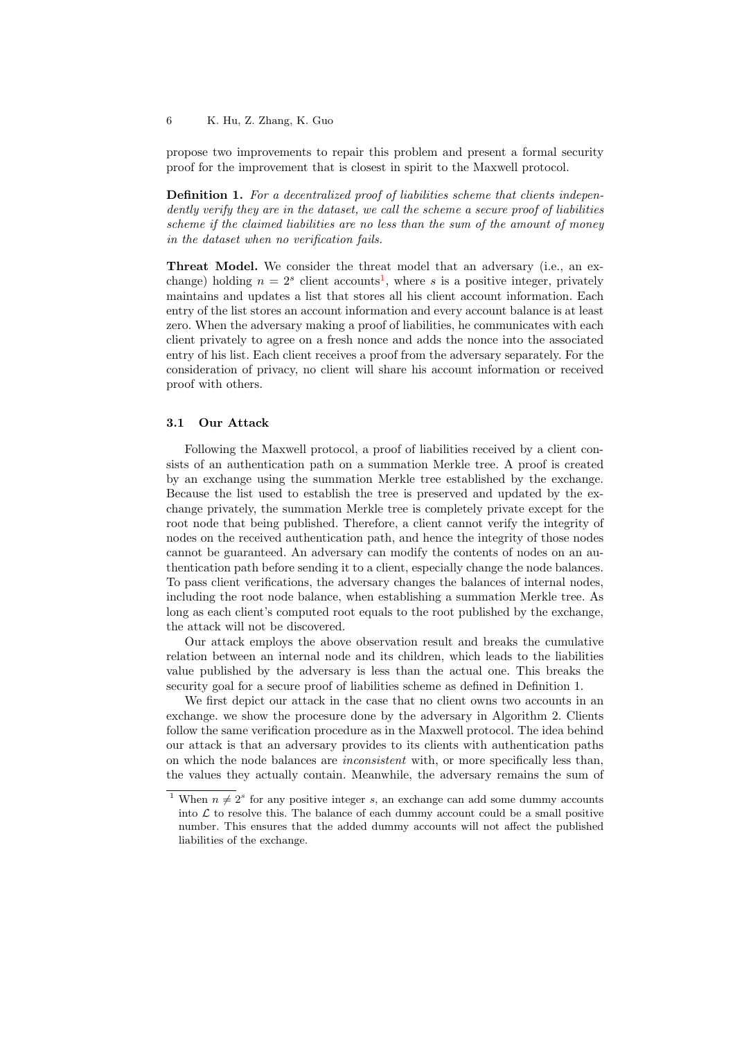propose two improvements to repair this problem and present a formal security proof for the improvement that is closest in spirit to the Maxwell protocol.

Definition 1. For a decentralized proof of liabilities scheme that clients independently verify they are in the dataset, we call the scheme a secure proof of liabilities scheme if the claimed liabilities are no less than the sum of the amount of money in the dataset when no verification fails.

Threat Model. We consider the threat model that an adversary (i.e., an exchange) holding  $n = 2<sup>s</sup>$  client accounts<sup>[1](#page-0-0)</sup>, where s is a positive integer, privately maintains and updates a list that stores all his client account information. Each entry of the list stores an account information and every account balance is at least zero. When the adversary making a proof of liabilities, he communicates with each client privately to agree on a fresh nonce and adds the nonce into the associated entry of his list. Each client receives a proof from the adversary separately. For the consideration of privacy, no client will share his account information or received proof with others.

## 3.1 Our Attack

Following the Maxwell protocol, a proof of liabilities received by a client consists of an authentication path on a summation Merkle tree. A proof is created by an exchange using the summation Merkle tree established by the exchange. Because the list used to establish the tree is preserved and updated by the exchange privately, the summation Merkle tree is completely private except for the root node that being published. Therefore, a client cannot verify the integrity of nodes on the received authentication path, and hence the integrity of those nodes cannot be guaranteed. An adversary can modify the contents of nodes on an authentication path before sending it to a client, especially change the node balances. To pass client verifications, the adversary changes the balances of internal nodes, including the root node balance, when establishing a summation Merkle tree. As long as each client's computed root equals to the root published by the exchange, the attack will not be discovered.

Our attack employs the above observation result and breaks the cumulative relation between an internal node and its children, which leads to the liabilities value published by the adversary is less than the actual one. This breaks the security goal for a secure proof of liabilities scheme as defined in Definition 1.

We first depict our attack in the case that no client owns two accounts in an exchange. we show the procesure done by the adversary in Algorithm 2. Clients follow the same verification procedure as in the Maxwell protocol. The idea behind our attack is that an adversary provides to its clients with authentication paths on which the node balances are inconsistent with, or more specifically less than, the values they actually contain. Meanwhile, the adversary remains the sum of

<sup>&</sup>lt;sup>1</sup> When  $n \neq 2<sup>s</sup>$  for any positive integer s, an exchange can add some dummy accounts into  $\mathcal L$  to resolve this. The balance of each dummy account could be a small positive number. This ensures that the added dummy accounts will not affect the published liabilities of the exchange.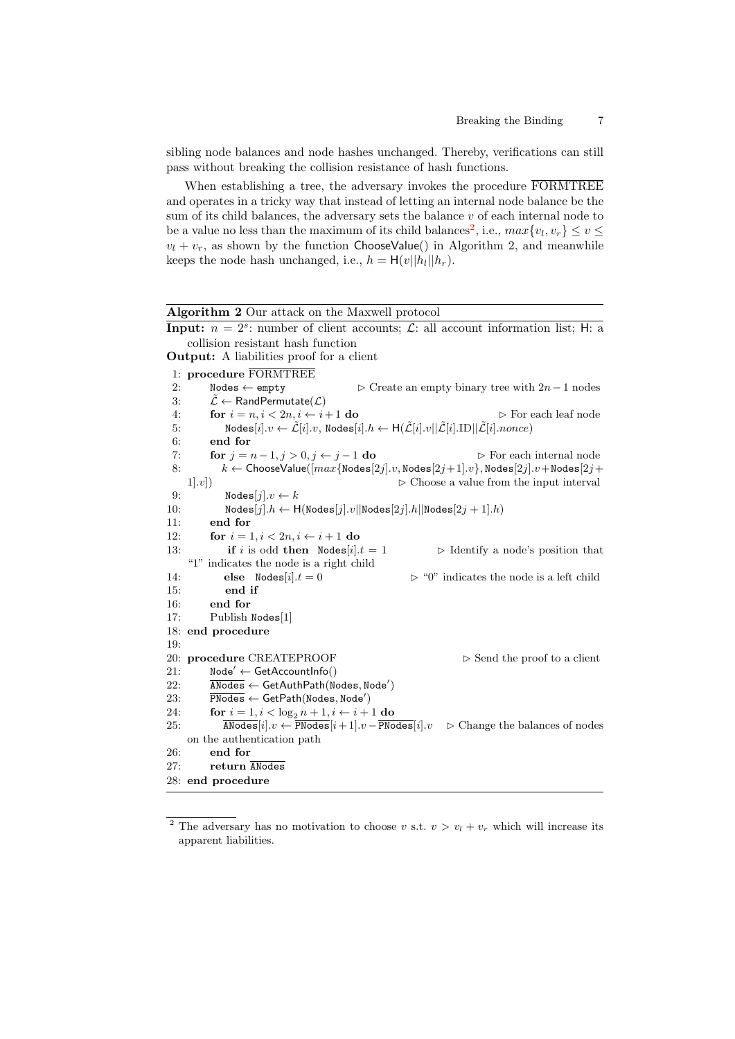sibling node balances and node hashes unchanged. Thereby, verifications can still pass without breaking the collision resistance of hash functions.

When establishing a tree, the adversary invokes the procedure FORMTREE and operates in a tricky way that instead of letting an internal node balance be the sum of its child balances, the adversary sets the balance  $v$  of each internal node to be a value no less than the maximum of its child balances<sup>[2](#page-0-0)</sup>, i.e.,  $max\{v_l, v_r\} \le v \le$  $v_l + v_r$ , as shown by the function ChooseValue() in Algorithm 2, and meanwhile keeps the node hash unchanged, i.e.,  $h = H(v||h_l||h_r)$ .

| Algorithm 2 Our attack on the Maxwell protocol                                                                                                                                                         |  |  |  |  |  |  |  |  |
|--------------------------------------------------------------------------------------------------------------------------------------------------------------------------------------------------------|--|--|--|--|--|--|--|--|
| <b>Input:</b> $n = 2^s$ : number of client accounts; $\mathcal{L}$ : all account information list; H: a                                                                                                |  |  |  |  |  |  |  |  |
| collision resistant hash function                                                                                                                                                                      |  |  |  |  |  |  |  |  |
| <b>Output:</b> A liabilities proof for a client                                                                                                                                                        |  |  |  |  |  |  |  |  |
| 1: procedure FORMTREE                                                                                                                                                                                  |  |  |  |  |  |  |  |  |
| 2:<br>$\texttt{Nodes} \leftarrow \texttt{empty}$<br>$\triangleright$ Create an empty binary tree with $2n-1$ nodes                                                                                     |  |  |  |  |  |  |  |  |
| $\mathcal{L} \leftarrow$ RandPermutate $(\mathcal{L})$<br>3:                                                                                                                                           |  |  |  |  |  |  |  |  |
| for $i = n, i < 2n, i \leftarrow i + 1$ do<br>4:<br>$\triangleright$ For each leaf node                                                                                                                |  |  |  |  |  |  |  |  |
| $\texttt{Nodes}[i].v \leftarrow \tilde{\mathcal{L}}[i].v, \texttt{Nodes}[i].h \leftarrow \texttt{H}(\tilde{\mathcal{L}}[i].v  \tilde{\mathcal{L}}[i].\texttt{ID}  \tilde{\mathcal{L}}[i].nonce)$<br>5: |  |  |  |  |  |  |  |  |
| end for<br>6:                                                                                                                                                                                          |  |  |  |  |  |  |  |  |
| for $j = n - 1, j > 0, j \leftarrow j - 1$ do<br>7:<br>$\triangleright$ For each internal node                                                                                                         |  |  |  |  |  |  |  |  |
| $k \leftarrow$ ChooseValue $([max\{\texttt{Nodes}[2j].v, \texttt{Nodes}[2j+1].v\}, \texttt{Nodes}[2j].v + \texttt{Nodes}[2j+1])\})$<br>8:                                                              |  |  |  |  |  |  |  |  |
| $\triangleright$ Choose a value from the input interval<br>1 x                                                                                                                                         |  |  |  |  |  |  |  |  |
| Nodes $[j].v \leftarrow k$<br>9:                                                                                                                                                                       |  |  |  |  |  |  |  |  |
| $\texttt{Nodes}[j].h \leftarrow \texttt{H}(\texttt{Nodes}[j].v  \texttt{Nodes}[2j].h  \texttt{Nodes}[2j+1].h)$<br>10:                                                                                  |  |  |  |  |  |  |  |  |
| 11:<br>end for                                                                                                                                                                                         |  |  |  |  |  |  |  |  |
| 12:<br>for $i = 1, i < 2n, i \leftarrow i + 1$ do                                                                                                                                                      |  |  |  |  |  |  |  |  |
| <b>if</b> i is odd <b>then</b> Nodes $[i].t = 1$<br>13:<br>$\triangleright$ Identify a node's position that                                                                                            |  |  |  |  |  |  |  |  |
| "1" indicates the node is a right child                                                                                                                                                                |  |  |  |  |  |  |  |  |
| $\triangleright$ "0" indicates the node is a left child<br>else Nodes $[i].t = 0$<br>14:                                                                                                               |  |  |  |  |  |  |  |  |
| 15:<br>end if                                                                                                                                                                                          |  |  |  |  |  |  |  |  |
| end for<br>16:                                                                                                                                                                                         |  |  |  |  |  |  |  |  |
| 17:<br>Publish Nodes[1]                                                                                                                                                                                |  |  |  |  |  |  |  |  |
| 18: end procedure                                                                                                                                                                                      |  |  |  |  |  |  |  |  |
| 19:                                                                                                                                                                                                    |  |  |  |  |  |  |  |  |
| 20: procedure CREATEPROOF<br>$\triangleright$ Send the proof to a client                                                                                                                               |  |  |  |  |  |  |  |  |
| $Node' \leftarrow GetAccountInfo()$<br>21:                                                                                                                                                             |  |  |  |  |  |  |  |  |
| 22:<br>$\overline{\text{AModes}} \leftarrow \text{GetAuthPath}(\text{Nodes}, \text{Node}')$                                                                                                            |  |  |  |  |  |  |  |  |
| $\overline{\text{PNodes}} \leftarrow \text{GetPath}(\text{Nodes}, \text{Node}')$<br>23:                                                                                                                |  |  |  |  |  |  |  |  |
| 24:<br>for $i = 1, i < \log_2 n + 1, i \leftarrow i + 1$ do                                                                                                                                            |  |  |  |  |  |  |  |  |
| $\overline{\texttt{AModes}}[i].v \gets \overline{\texttt{PNodes}}[i+1].v - \overline{\texttt{PNodes}}[i].v$<br>25:<br>$\triangleright$ Change the balances of nodes                                    |  |  |  |  |  |  |  |  |
| on the authentication path                                                                                                                                                                             |  |  |  |  |  |  |  |  |
| 26:<br>end for<br>27:                                                                                                                                                                                  |  |  |  |  |  |  |  |  |
| return ANodes                                                                                                                                                                                          |  |  |  |  |  |  |  |  |
| 28: end procedure                                                                                                                                                                                      |  |  |  |  |  |  |  |  |

<sup>&</sup>lt;sup>2</sup> The adversary has no motivation to choose v s.t.  $v > v_l + v_r$  which will increase its apparent liabilities.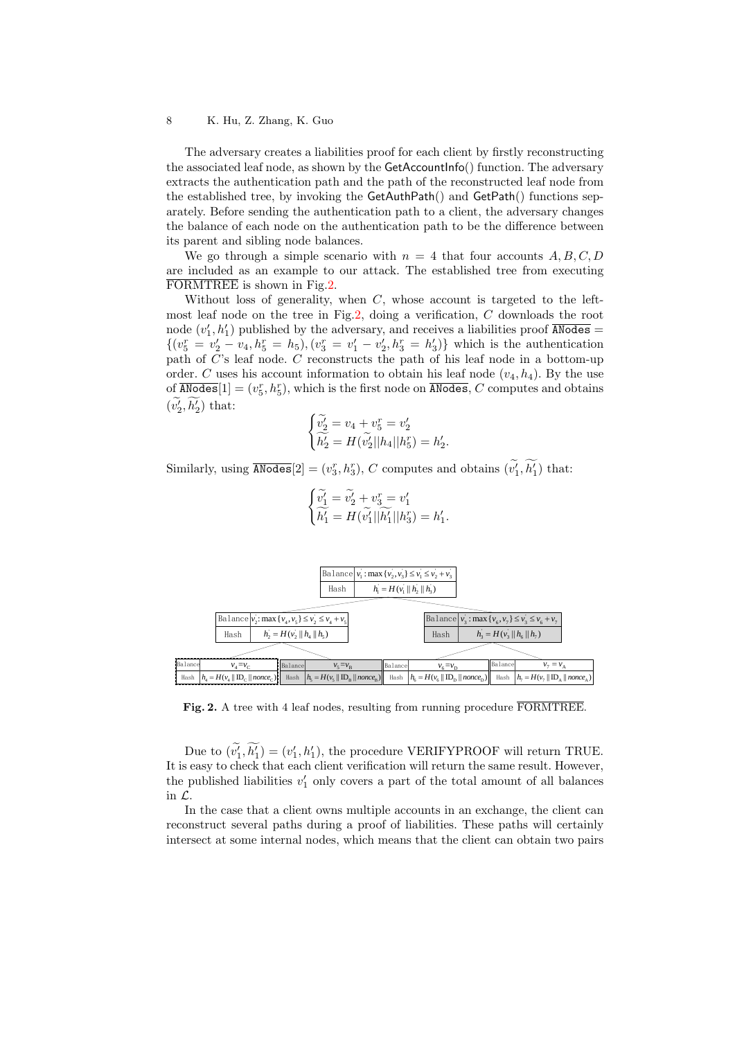The adversary creates a liabilities proof for each client by firstly reconstructing the associated leaf node, as shown by the GetAccountInfo() function. The adversary extracts the authentication path and the path of the reconstructed leaf node from the established tree, by invoking the GetAuthPath() and GetPath() functions separately. Before sending the authentication path to a client, the adversary changes the balance of each node on the authentication path to be the difference between its parent and sibling node balances.

We go through a simple scenario with  $n = 4$  that four accounts A, B, C, D are included as an example to our attack. The established tree from executing FORMTREE is shown in Fig[.2.](#page-7-0)

Without loss of generality, when  $C$ , whose account is targeted to the leftmost leaf node on the tree in Fig[.2,](#page-7-0) doing a verification, C downloads the root node  $(v'_1, h'_1)$  published by the adversary, and receives a liabilities proof  $\overline{\text{ANodes}}$  =  $\{(v_5^r = v_2' - v_4, h_5^r = h_5), (v_3^r = v_1' - v_2', h_3^r = h_3')\}$  which is the authentication path of C's leaf node. C reconstructs the path of his leaf node in a bottom-up order. C uses his account information to obtain his leaf node  $(v_4, h_4)$ . By the use of  $\overline{\text{ANodes}}[1] = (v_5^r, h_5^r)$ , which is the first node on  $\overline{\text{ANodes}}$ , C computes and obtains  $(v'_2, h'_2)$  that:

$$
\begin{cases}\n\widetilde{v_2'} = v_4 + v_5^r = v_2' \\
\widetilde{h_2'} = H(\widetilde{v_2'}||h_4||h_5^r) = h_2'.\n\end{cases}
$$

Similarly, using  $\overline{\text{ANodes}}[2] = (v_3^r, h_3^r)$ , C computes and obtains  $(v_1^r, h_1^r)$  that:

$$
\begin{cases}\n\widetilde{v'_1} = \widetilde{v'_2} + v_3^r = v'_1 \\
\widetilde{h'_1} = H(\widetilde{v'_1}||\widetilde{h'_1}||h'_3) = h'_1.\n\end{cases}
$$



<span id="page-7-0"></span>Fig. 2. A tree with 4 leaf nodes, resulting from running procedure FORMTREE.

Due to  $(v'_1, h'_1) = (v'_1, h'_1)$ , the procedure VERIFYPROOF will return TRUE. It is easy to check that each client verification will return the same result. However, the published liabilities  $v'_1$  only covers a part of the total amount of all balances in L.

In the case that a client owns multiple accounts in an exchange, the client can reconstruct several paths during a proof of liabilities. These paths will certainly intersect at some internal nodes, which means that the client can obtain two pairs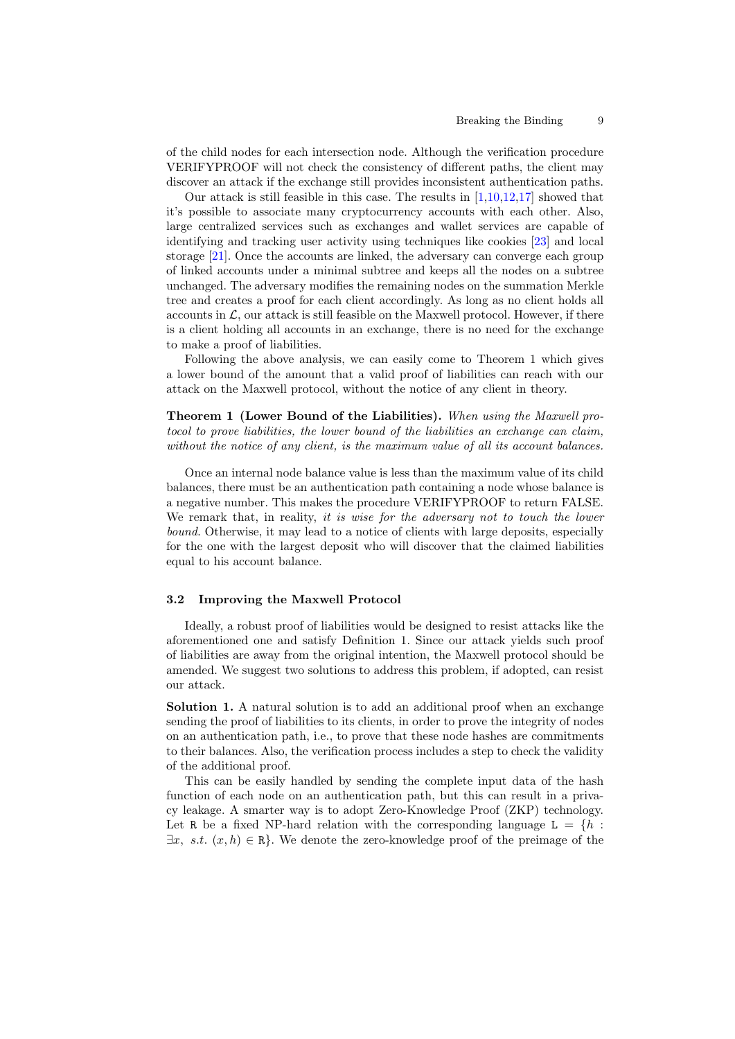of the child nodes for each intersection node. Although the verification procedure VERIFYPROOF will not check the consistency of different paths, the client may discover an attack if the exchange still provides inconsistent authentication paths.

Our attack is still feasible in this case. The results in  $[1,10,12,17]$  $[1,10,12,17]$  $[1,10,12,17]$  $[1,10,12,17]$  showed that it's possible to associate many cryptocurrency accounts with each other. Also, large centralized services such as exchanges and wallet services are capable of identifying and tracking user activity using techniques like cookies [\[23\]](#page-16-9) and local storage [\[21\]](#page-16-10). Once the accounts are linked, the adversary can converge each group of linked accounts under a minimal subtree and keeps all the nodes on a subtree unchanged. The adversary modifies the remaining nodes on the summation Merkle tree and creates a proof for each client accordingly. As long as no client holds all accounts in  $\mathcal{L}$ , our attack is still feasible on the Maxwell protocol. However, if there is a client holding all accounts in an exchange, there is no need for the exchange to make a proof of liabilities.

Following the above analysis, we can easily come to Theorem 1 which gives a lower bound of the amount that a valid proof of liabilities can reach with our attack on the Maxwell protocol, without the notice of any client in theory.

Theorem 1 (Lower Bound of the Liabilities). When using the Maxwell protocol to prove liabilities, the lower bound of the liabilities an exchange can claim, without the notice of any client, is the maximum value of all its account balances.

Once an internal node balance value is less than the maximum value of its child balances, there must be an authentication path containing a node whose balance is a negative number. This makes the procedure VERIFYPROOF to return FALSE. We remark that, in reality, it is wise for the adversary not to touch the lower bound. Otherwise, it may lead to a notice of clients with large deposits, especially for the one with the largest deposit who will discover that the claimed liabilities equal to his account balance.

## 3.2 Improving the Maxwell Protocol

Ideally, a robust proof of liabilities would be designed to resist attacks like the aforementioned one and satisfy Definition 1. Since our attack yields such proof of liabilities are away from the original intention, the Maxwell protocol should be amended. We suggest two solutions to address this problem, if adopted, can resist our attack.

Solution 1. A natural solution is to add an additional proof when an exchange sending the proof of liabilities to its clients, in order to prove the integrity of nodes on an authentication path, i.e., to prove that these node hashes are commitments to their balances. Also, the verification process includes a step to check the validity of the additional proof.

This can be easily handled by sending the complete input data of the hash function of each node on an authentication path, but this can result in a privacy leakage. A smarter way is to adopt Zero-Knowledge Proof (ZKP) technology. Let R be a fixed NP-hard relation with the corresponding language  $L = \{h :$  $\exists x, s.t. (x, h) \in \mathbb{R}$ . We denote the zero-knowledge proof of the preimage of the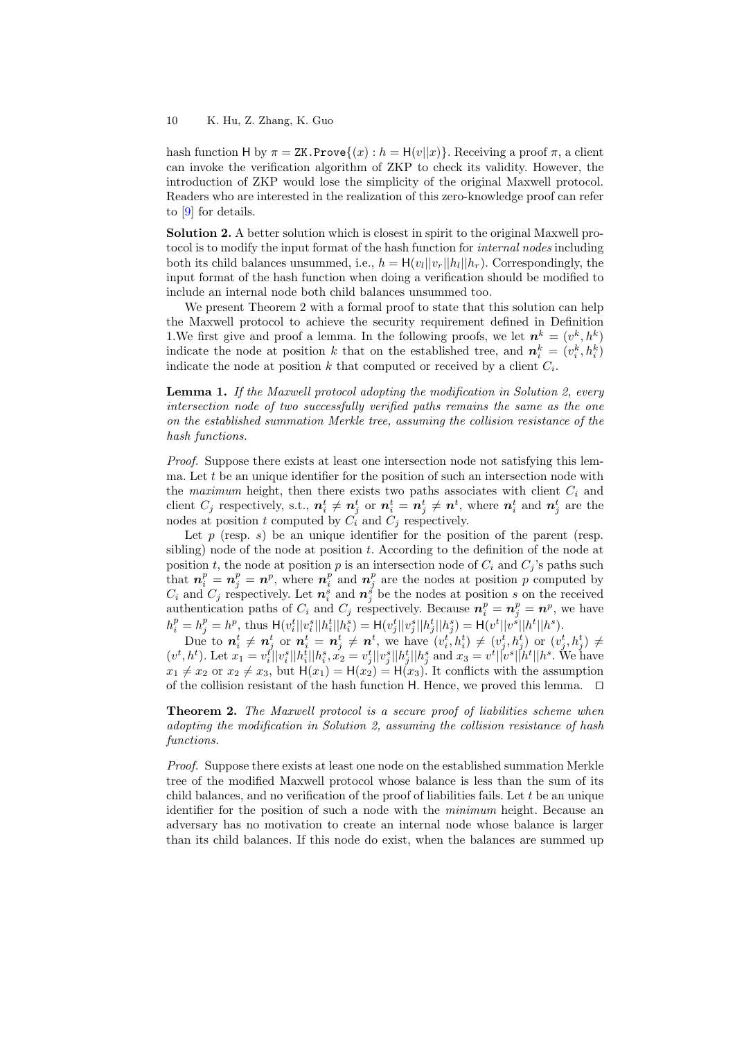hash function H by  $\pi = ZK$ . Prove $\{(x) : h = H(v||x)\}$ . Receiving a proof  $\pi$ , a client can invoke the verification algorithm of ZKP to check its validity. However, the introduction of ZKP would lose the simplicity of the original Maxwell protocol. Readers who are interested in the realization of this zero-knowledge proof can refer to [\[9\]](#page-15-9) for details.

Solution 2. A better solution which is closest in spirit to the original Maxwell proto to is to modify the input format of the hash function for *internal nodes* including both its child balances unsummed, i.e.,  $h = H(v_l||v_r||h_l||h_r)$ . Correspondingly, the input format of the hash function when doing a verification should be modified to include an internal node both child balances unsummed too.

We present Theorem 2 with a formal proof to state that this solution can help the Maxwell protocol to achieve the security requirement defined in Definition 1. We first give and proof a lemma. In the following proofs, we let  $n^k = (v^k, h^k)$ indicate the node at position k that on the established tree, and  $n_i^k = (v_i^k, h_i^k)$ indicate the node at position k that computed or received by a client  $C_i$ .

**Lemma 1.** If the Maxwell protocol adopting the modification in Solution 2, every intersection node of two successfully verified paths remains the same as the one on the established summation Merkle tree, assuming the collision resistance of the hash functions.

Proof. Suppose there exists at least one intersection node not satisfying this lemma. Let  $t$  be an unique identifier for the position of such an intersection node with the maximum height, then there exists two paths associates with client  $C_i$  and client  $C_j$  respectively, s.t.,  $n_i^t \neq n_j^t$  or  $n_i^t = n_j^t \neq n^t$ , where  $n_i^t$  and  $n_j^t$  are the nodes at position t computed by  $C_i$  and  $C_j$  respectively.

Let  $p$  (resp.  $s$ ) be an unique identifier for the position of the parent (resp. sibling) node of the node at position  $t$ . According to the definition of the node at position t, the node at position p is an intersection node of  $C_i$  and  $C_j$ 's paths such that  $n_i^p = n_j^p = n^p$ , where  $n_i^p$  and  $n_j^p$  are the nodes at position p computed by  $C_i$  and  $C_j$  respectively. Let  $n_i^s$  and  $n_j^s$  be the nodes at position s on the received authentication paths of  $C_i$  and  $C_j$  respectively. Because  $n_i^p = n_j^p = n^p$ , we have  $h_i^p = h_j^p = h^p$ , thus  $H(v_i^t || v_i^s || h_i^t || h_i^s) = H(v_j^t || v_j^s || h_j^t || h_j^s) = H(v^t || v^s || h^t || h^s)$ .

Due to  $n_i^t \neq n_j^t$  or  $n_i^t = n_j^t \neq n^t$ , we have  $(v_i^t, h_i^t) \neq (v_j^t, h_j^t)$  or  $(v_j^t, h_j^t) \neq$  $(v^t, h^t)$ . Let  $x_1 = v_i^t ||v_i^s||h_i^t||h_i^s$ ,  $x_2 = v_j^t ||v_j^s||h_j^t||h_j^s$  and  $x_3 = v^t ||v^s||h^t||h^s$ . We have  $x_1 \neq x_2$  or  $x_2 \neq x_3$ , but  $H(x_1) = H(x_2) = H(x_3)$ . It conflicts with the assumption of the collision resistant of the hash function  $H$ . Hence, we proved this lemma.  $\Box$ 

**Theorem 2.** The Maxwell protocol is a secure proof of liabilities scheme when adopting the modification in Solution 2, assuming the collision resistance of hash functions.

Proof. Suppose there exists at least one node on the established summation Merkle tree of the modified Maxwell protocol whose balance is less than the sum of its child balances, and no verification of the proof of liabilities fails. Let  $t$  be an unique identifier for the position of such a node with the minimum height. Because an adversary has no motivation to create an internal node whose balance is larger than its child balances. If this node do exist, when the balances are summed up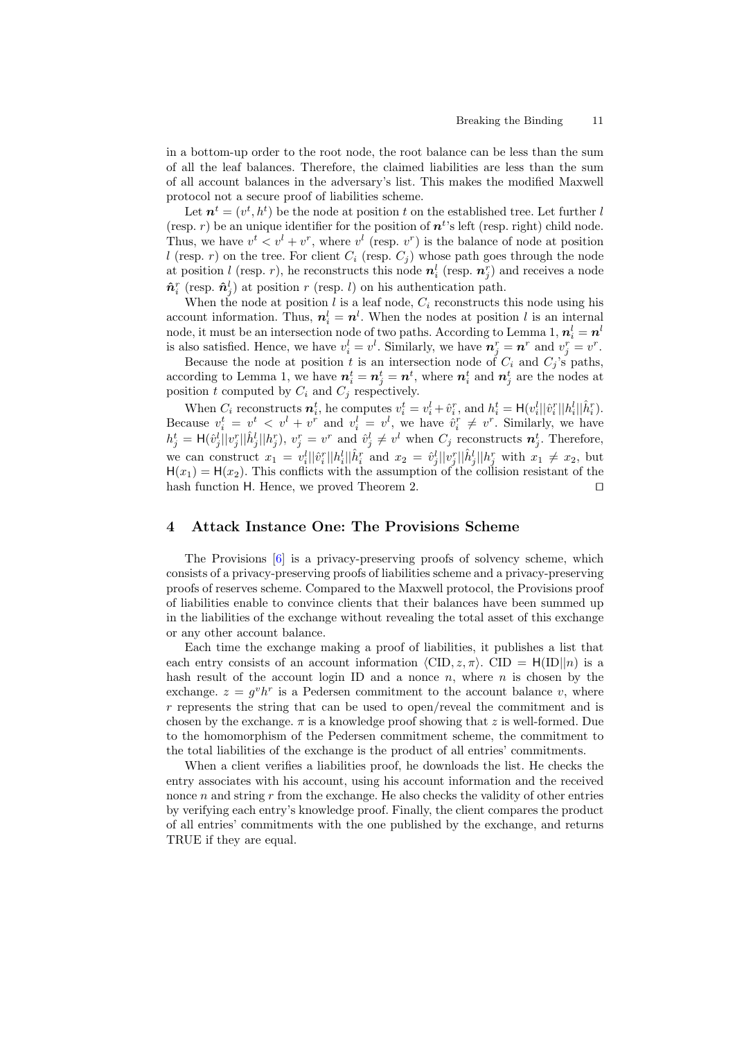in a bottom-up order to the root node, the root balance can be less than the sum of all the leaf balances. Therefore, the claimed liabilities are less than the sum of all account balances in the adversary's list. This makes the modified Maxwell protocol not a secure proof of liabilities scheme.

Let  $n^t = (v^t, h^t)$  be the node at position t on the established tree. Let further l (resp. r) be an unique identifier for the position of  $n<sup>t</sup>$ 's left (resp. right) child node. Thus, we have  $v^t < v^l + v^r$ , where  $v^l$  (resp.  $v^r$ ) is the balance of node at position l (resp. r) on the tree. For client  $C_i$  (resp.  $C_j$ ) whose path goes through the node at position l (resp. r), he reconstructs this node  $n_i^l$  (resp.  $n_j^r$ ) and receives a node  $\hat{\boldsymbol{n}}_i^r$  (resp.  $\hat{\boldsymbol{n}}_j^l$ ) at position r (resp. l) on his authentication path.

When the node at position  $l$  is a leaf node,  $C_i$  reconstructs this node using his account information. Thus,  $n_i^l = n^l$ . When the nodes at position l is an internal node, it must be an intersection node of two paths. According to Lemma 1,  $\boldsymbol{n}_i^l = \boldsymbol{n}^l$ is also satisfied. Hence, we have  $v_i^l = v^l$ . Similarly, we have  $n_j^r = n^r$  and  $v_j^r = v^r$ .

Because the node at position t is an intersection node of  $C_i$  and  $C_j$ 's paths, according to Lemma 1, we have  $n_i^t = n_j^t = n^t$ , where  $n_i^t$  and  $n_j^t$  are the nodes at position t computed by  $C_i$  and  $C_j$  respectively.

When  $C_i$  reconstructs  $n_i^t$ , he computes  $v_i^t = v_i^l + \hat{v}_i^r$ , and  $h_i^t = \mathsf{H}(v_i^l||\hat{v}_i^r||h_i^l||\hat{h}_i^r)$ . Because  $v_i^t = v^t < v^l + v^r$  and  $v_i^l = v^l$ , we have  $\hat{v}_i^r \neq v^r$ . Similarly, we have  $h_j^t = \mathsf{H}(\hat{v}_j^l || v_j^r || \hat{h}_j^l || h_j^r), v_j^r = v^r$  and  $\hat{v}_j^l \neq v^l$  when  $C_j$  reconstructs  $n_j^t$ . Therefore, we can construct  $x_1 = v_i^l ||\hat{v}_i^r ||h_i^l ||\hat{h}_i^r$  and  $x_2 = \hat{v}_j^l ||v_j^r ||\hat{h}_j^l ||h_j^r$  with  $x_1 \neq x_2$ , but  $H(x_1) = H(x_2)$ . This conflicts with the assumption of the collision resistant of the hash function H. Hence, we proved Theorem 2.  $\Box$ 

## 4 Attack Instance One: The Provisions Scheme

The Provisions [\[6\]](#page-15-4) is a privacy-preserving proofs of solvency scheme, which consists of a privacy-preserving proofs of liabilities scheme and a privacy-preserving proofs of reserves scheme. Compared to the Maxwell protocol, the Provisions proof of liabilities enable to convince clients that their balances have been summed up in the liabilities of the exchange without revealing the total asset of this exchange or any other account balance.

Each time the exchange making a proof of liabilities, it publishes a list that each entry consists of an account information  $\langle \text{CID}, z, \pi \rangle$ . CID = H(ID||n) is a hash result of the account login ID and a nonce  $n$ , where  $n$  is chosen by the exchange.  $z = g^v h^r$  is a Pedersen commitment to the account balance v, where  $r$  represents the string that can be used to open/reveal the commitment and is chosen by the exchange.  $\pi$  is a knowledge proof showing that z is well-formed. Due to the homomorphism of the Pedersen commitment scheme, the commitment to the total liabilities of the exchange is the product of all entries' commitments.

When a client verifies a liabilities proof, he downloads the list. He checks the entry associates with his account, using his account information and the received nonce  $n$  and string  $r$  from the exchange. He also checks the validity of other entries by verifying each entry's knowledge proof. Finally, the client compares the product of all entries' commitments with the one published by the exchange, and returns TRUE if they are equal.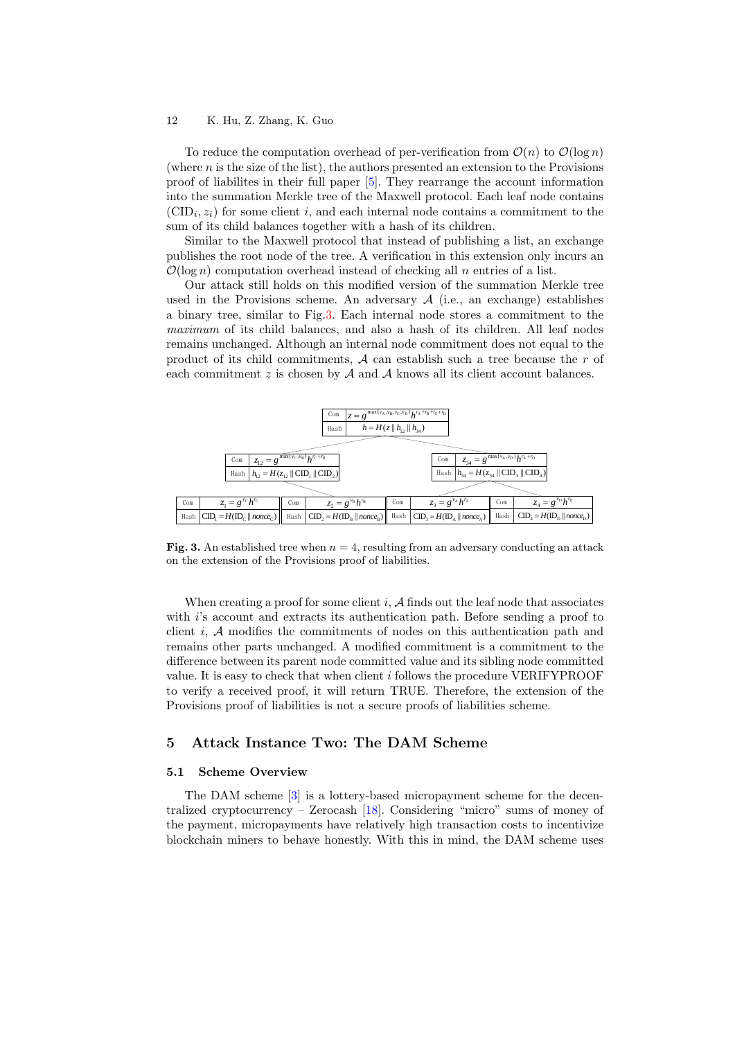To reduce the computation overhead of per-verification from  $\mathcal{O}(n)$  to  $\mathcal{O}(\log n)$ (where  $n$  is the size of the list), the authors presented an extension to the Provisions proof of liabilites in their full paper [\[5\]](#page-15-6). They rearrange the account information into the summation Merkle tree of the Maxwell protocol. Each leaf node contains  $(CID_i, z_i)$  for some client i, and each internal node contains a commitment to the sum of its child balances together with a hash of its children.

Similar to the Maxwell protocol that instead of publishing a list, an exchange publishes the root node of the tree. A verification in this extension only incurs an  $\mathcal{O}(\log n)$  computation overhead instead of checking all n entries of a list.

Our attack still holds on this modified version of the summation Merkle tree used in the Provisions scheme. An adversary  $A$  (i.e., an exchange) establishes a binary tree, similar to Fig[.3.](#page-11-0) Each internal node stores a commitment to the maximum of its child balances, and also a hash of its children. All leaf nodes remains unchanged. Although an internal node commitment does not equal to the product of its child commitments,  $A$  can establish such a tree because the r of



<span id="page-11-0"></span>Fig. 3. An established tree when  $n = 4$ , resulting from an adversary conducting an attack on the extension of the Provisions proof of liabilities.

When creating a proof for some client i,  $A$  finds out the leaf node that associates with  $i$ 's account and extracts its authentication path. Before sending a proof to client  $i$ ,  $A$  modifies the commitments of nodes on this authentication path and remains other parts unchanged. A modified commitment is a commitment to the difference between its parent node committed value and its sibling node committed value. It is easy to check that when client i follows the procedure VERIFYPROOF to verify a received proof, it will return TRUE. Therefore, the extension of the Provisions proof of liabilities is not a secure proofs of liabilities scheme.

# 5 Attack Instance Two: The DAM Scheme

#### 5.1 Scheme Overview

The DAM scheme [\[3\]](#page-15-5) is a lottery-based micropayment scheme for the decentralized cryptocurrency – Zerocash  $[18]$ . Considering "micro" sums of money of the payment, micropayments have relatively high transaction costs to incentivize blockchain miners to behave honestly. With this in mind, the DAM scheme uses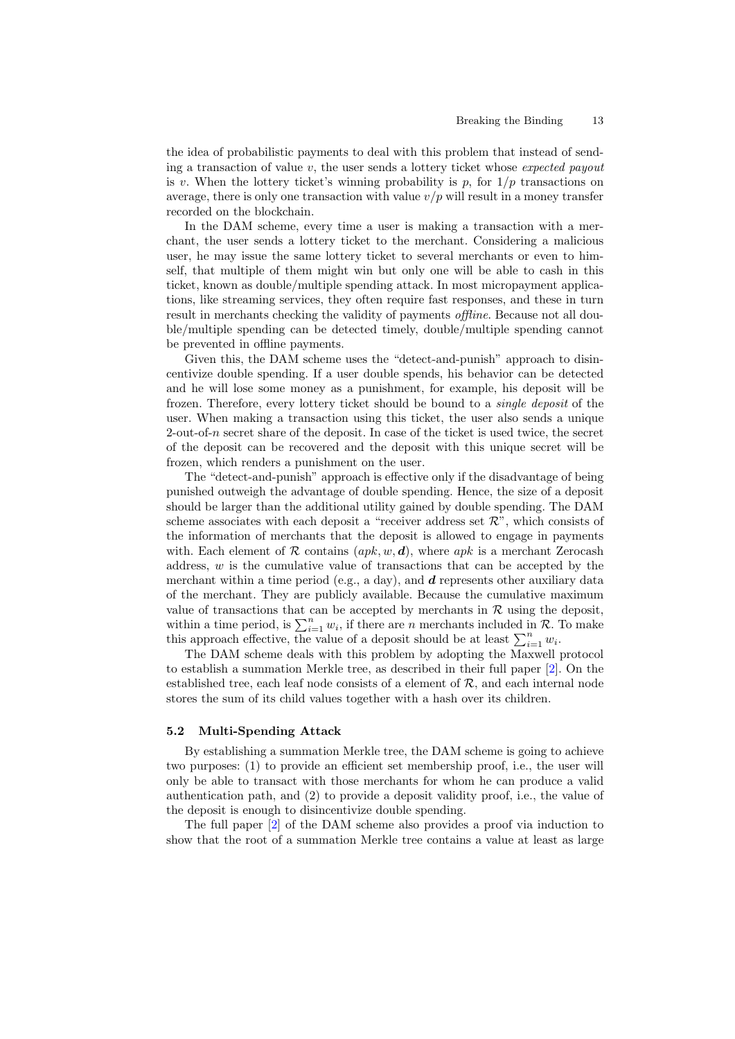the idea of probabilistic payments to deal with this problem that instead of sending a transaction of value  $v$ , the user sends a lottery ticket whose *expected payout* is v. When the lottery ticket's winning probability is p, for  $1/p$  transactions on average, there is only one transaction with value  $v/p$  will result in a money transfer recorded on the blockchain.

In the DAM scheme, every time a user is making a transaction with a merchant, the user sends a lottery ticket to the merchant. Considering a malicious user, he may issue the same lottery ticket to several merchants or even to himself, that multiple of them might win but only one will be able to cash in this ticket, known as double/multiple spending attack. In most micropayment applications, like streaming services, they often require fast responses, and these in turn result in merchants checking the validity of payments *offline*. Because not all double/multiple spending can be detected timely, double/multiple spending cannot be prevented in offline payments.

Given this, the DAM scheme uses the "detect-and-punish" approach to disincentivize double spending. If a user double spends, his behavior can be detected and he will lose some money as a punishment, for example, his deposit will be frozen. Therefore, every lottery ticket should be bound to a single deposit of the user. When making a transaction using this ticket, the user also sends a unique 2-out-of-n secret share of the deposit. In case of the ticket is used twice, the secret of the deposit can be recovered and the deposit with this unique secret will be frozen, which renders a punishment on the user.

The "detect-and-punish" approach is effective only if the disadvantage of being punished outweigh the advantage of double spending. Hence, the size of a deposit should be larger than the additional utility gained by double spending. The DAM scheme associates with each deposit a "receiver address set  $\mathcal{R}$ ", which consists of the information of merchants that the deposit is allowed to engage in payments with. Each element of  $R$  contains  $(apk, w, d)$ , where apk is a merchant Zerocash address,  $w$  is the cumulative value of transactions that can be accepted by the merchant within a time period (e.g., a day), and  $d$  represents other auxiliary data of the merchant. They are publicly available. Because the cumulative maximum value of transactions that can be accepted by merchants in  $R$  using the deposit, within a time period, is  $\sum_{i=1}^{n} w_i$ , if there are n merchants included in  $\mathcal{R}$ . To make this approach effective, the value of a deposit should be at least  $\sum_{i=1}^{n} w_i$ .

The DAM scheme deals with this problem by adopting the Maxwell protocol to establish a summation Merkle tree, as described in their full paper [\[2\]](#page-15-10). On the established tree, each leaf node consists of a element of  $R$ , and each internal node stores the sum of its child values together with a hash over its children.

#### 5.2 Multi-Spending Attack

By establishing a summation Merkle tree, the DAM scheme is going to achieve two purposes: (1) to provide an efficient set membership proof, i.e., the user will only be able to transact with those merchants for whom he can produce a valid authentication path, and (2) to provide a deposit validity proof, i.e., the value of the deposit is enough to disincentivize double spending.

The full paper [\[2\]](#page-15-10) of the DAM scheme also provides a proof via induction to show that the root of a summation Merkle tree contains a value at least as large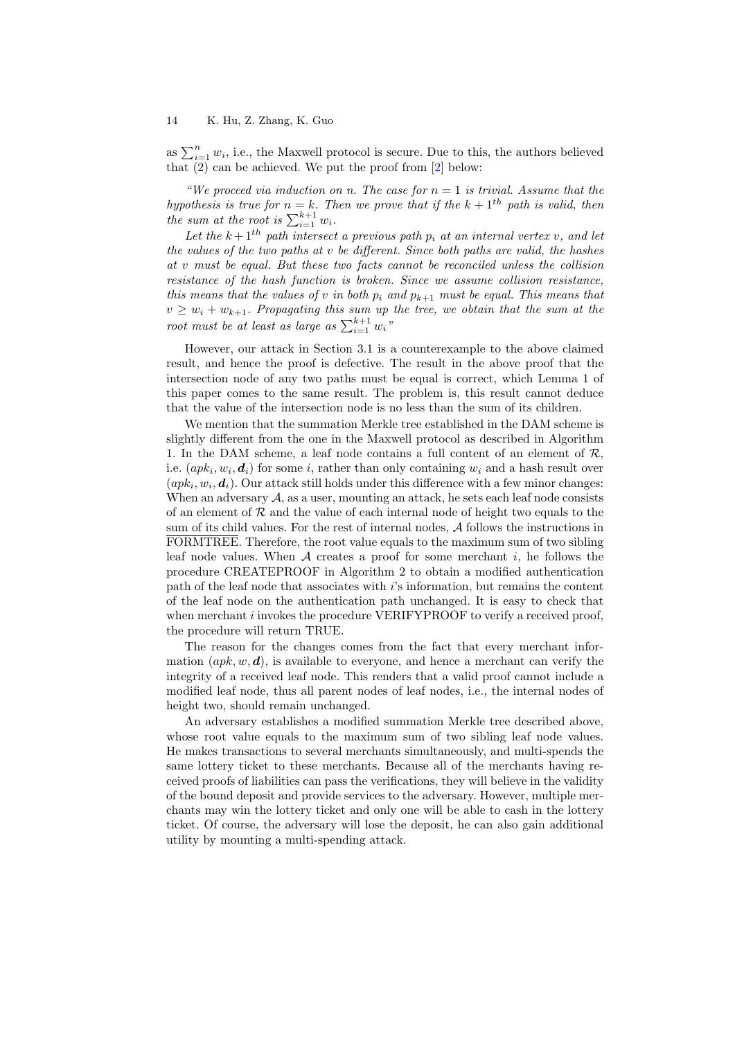as  $\sum_{i=1}^{n} w_i$ , i.e., the Maxwell protocol is secure. Due to this, the authors believed that  $(2)$  can be achieved. We put the proof from  $[2]$  below:

"We proceed via induction on n. The case for  $n = 1$  is trivial. Assume that the hypothesis is true for  $n = k$ . Then we prove that if the  $k + 1<sup>th</sup>$  path is valid, then the sum at the root is  $\sum_{i=1}^{k+1} w_i$ .

Let the  $k+1$ <sup>th</sup> path intersect a previous path  $p_i$  at an internal vertex v, and let the values of the two paths at v be different. Since both paths are valid, the hashes at v must be equal. But these two facts cannot be reconciled unless the collision resistance of the hash function is broken. Since we assume collision resistance, this means that the values of v in both  $p_i$  and  $p_{k+1}$  must be equal. This means that  $v \geq w_i + w_{k+1}$ . Propagating this sum up the tree, we obtain that the sum at the root must be at least as large as  $\sum_{i=1}^{k+1} w_i$ "

However, our attack in Section 3.1 is a counterexample to the above claimed result, and hence the proof is defective. The result in the above proof that the intersection node of any two paths must be equal is correct, which Lemma 1 of this paper comes to the same result. The problem is, this result cannot deduce that the value of the intersection node is no less than the sum of its children.

We mention that the summation Merkle tree established in the DAM scheme is slightly different from the one in the Maxwell protocol as described in Algorithm 1. In the DAM scheme, a leaf node contains a full content of an element of  $\mathcal{R}$ , i.e.  $(apk_i, w_i, \boldsymbol{d}_i)$  for some i, rather than only containing  $w_i$  and a hash result over  $(apk_i, w_i, d_i)$ . Our attack still holds under this difference with a few minor changes: When an adversary  $A$ , as a user, mounting an attack, he sets each leaf node consists of an element of  $\mathcal R$  and the value of each internal node of height two equals to the sum of its child values. For the rest of internal nodes, A follows the instructions in FORMTREE. Therefore, the root value equals to the maximum sum of two sibling leaf node values. When  $A$  creates a proof for some merchant i, he follows the procedure CREATEPROOF in Algorithm 2 to obtain a modified authentication path of the leaf node that associates with i's information, but remains the content of the leaf node on the authentication path unchanged. It is easy to check that when merchant *i* invokes the procedure VERIFYPROOF to verify a received proof. the procedure will return TRUE.

The reason for the changes comes from the fact that every merchant information  $(ak, w, d)$ , is available to everyone, and hence a merchant can verify the integrity of a received leaf node. This renders that a valid proof cannot include a modified leaf node, thus all parent nodes of leaf nodes, i.e., the internal nodes of height two, should remain unchanged.

An adversary establishes a modified summation Merkle tree described above, whose root value equals to the maximum sum of two sibling leaf node values. He makes transactions to several merchants simultaneously, and multi-spends the same lottery ticket to these merchants. Because all of the merchants having received proofs of liabilities can pass the verifications, they will believe in the validity of the bound deposit and provide services to the adversary. However, multiple merchants may win the lottery ticket and only one will be able to cash in the lottery ticket. Of course, the adversary will lose the deposit, he can also gain additional utility by mounting a multi-spending attack.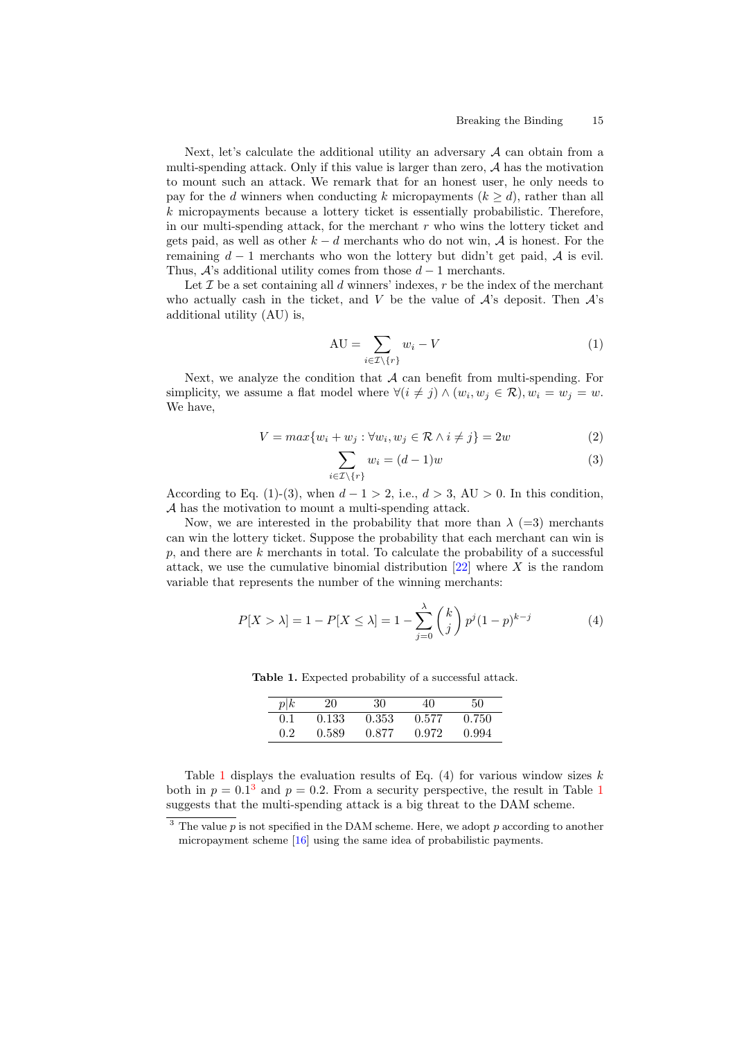Next, let's calculate the additional utility an adversary  $A$  can obtain from a multi-spending attack. Only if this value is larger than zero,  $A$  has the motivation to mount such an attack. We remark that for an honest user, he only needs to pay for the d winners when conducting k micropayments  $(k > d)$ , rather than all  $k$  micropayments because a lottery ticket is essentially probabilistic. Therefore, in our multi-spending attack, for the merchant  $r$  who wins the lottery ticket and gets paid, as well as other  $k - d$  merchants who do not win, A is honest. For the remaining  $d-1$  merchants who won the lottery but didn't get paid,  $A$  is evil. Thus,  $\mathcal{A}$ 's additional utility comes from those  $d-1$  merchants.

Let  $\mathcal I$  be a set containing all  $d$  winners' indexes,  $r$  be the index of the merchant who actually cash in the ticket, and V be the value of  $\mathcal{A}$ 's deposit. Then  $\mathcal{A}$ 's additional utility (AU) is,

$$
AU = \sum_{i \in \mathcal{I} \backslash \{r\}} w_i - V \tag{1}
$$

Next, we analyze the condition that  $A$  can benefit from multi-spending. For simplicity, we assume a flat model where  $\forall (i \neq j) \land (w_i, w_j \in \mathcal{R}), w_i = w_j = w$ . We have,

$$
V = \max\{w_i + w_j : \forall w_i, w_j \in \mathcal{R} \land i \neq j\} = 2w \tag{2}
$$

$$
\sum_{i \in \mathcal{I} \setminus \{r\}} w_i = (d-1)w \tag{3}
$$

According to Eq. (1)-(3), when  $d-1 > 2$ , i.e.,  $d > 3$ , AU  $> 0$ . In this condition, A has the motivation to mount a multi-spending attack.

Now, we are interested in the probability that more than  $\lambda$  (=3) merchants can win the lottery ticket. Suppose the probability that each merchant can win is  $p$ , and there are  $k$  merchants in total. To calculate the probability of a successful attack, we use the cumulative binomial distribution  $[22]$  where X is the random variable that represents the number of the winning merchants:

$$
P[X > \lambda] = 1 - P[X \le \lambda] = 1 - \sum_{j=0}^{\lambda} {k \choose j} p^j (1-p)^{k-j}
$$
 (4)

<span id="page-14-0"></span>

| $p\not k$     | 20    | 30    | 40    | 50    |
|---------------|-------|-------|-------|-------|
| 0.1           | 0.133 | 0.353 | 0.577 | 0.750 |
| $0.2^{\circ}$ | 0.589 | 0.877 | 0.972 | 0.994 |

Table 1. Expected probability of a successful attack.

Table [1](#page-14-0) displays the evaluation results of Eq.  $(4)$  for various window sizes k both in  $p = 0.1<sup>3</sup>$  $p = 0.1<sup>3</sup>$  $p = 0.1<sup>3</sup>$  and  $p = 0.2$ . From a security perspective, the result in Table [1](#page-14-0) suggests that the multi-spending attack is a big threat to the DAM scheme.

 $3$  The value  $p$  is not specified in the DAM scheme. Here, we adopt  $p$  according to another micropayment scheme [\[16\]](#page-16-12) using the same idea of probabilistic payments.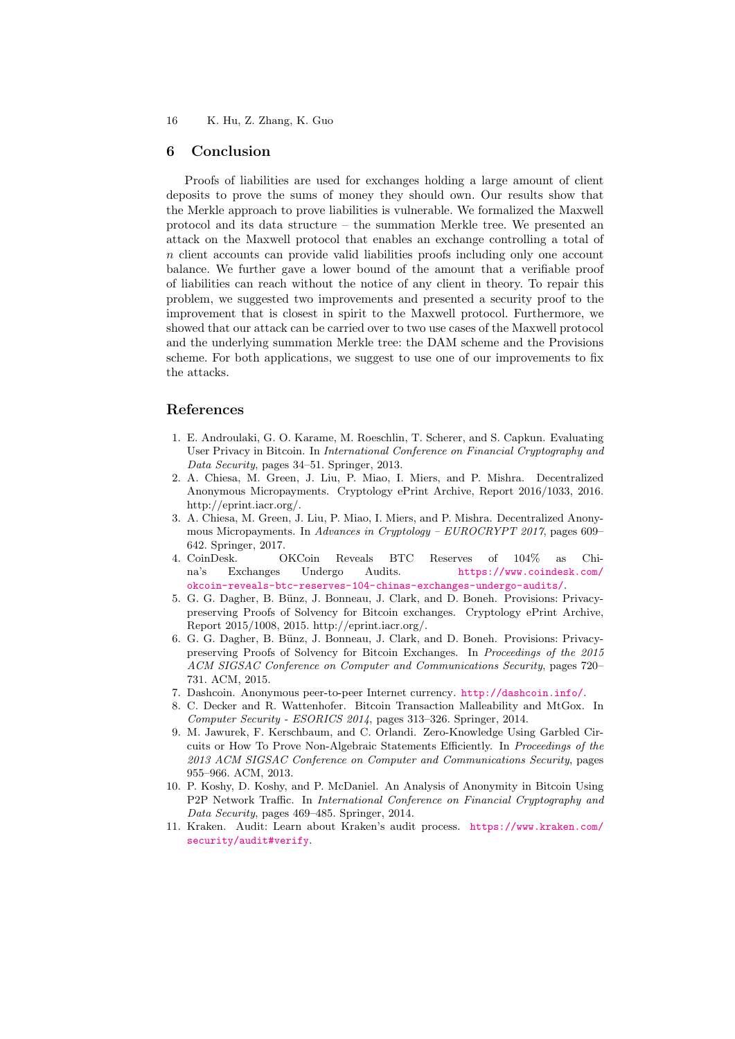#### 6 Conclusion

Proofs of liabilities are used for exchanges holding a large amount of client deposits to prove the sums of money they should own. Our results show that the Merkle approach to prove liabilities is vulnerable. We formalized the Maxwell protocol and its data structure – the summation Merkle tree. We presented an attack on the Maxwell protocol that enables an exchange controlling a total of  $n$  client accounts can provide valid liabilities proofs including only one account balance. We further gave a lower bound of the amount that a verifiable proof of liabilities can reach without the notice of any client in theory. To repair this problem, we suggested two improvements and presented a security proof to the improvement that is closest in spirit to the Maxwell protocol. Furthermore, we showed that our attack can be carried over to two use cases of the Maxwell protocol and the underlying summation Merkle tree: the DAM scheme and the Provisions scheme. For both applications, we suggest to use one of our improvements to fix the attacks.

# References

- <span id="page-15-7"></span>1. E. Androulaki, G. O. Karame, M. Roeschlin, T. Scherer, and S. Capkun. Evaluating User Privacy in Bitcoin. In International Conference on Financial Cryptography and Data Security, pages 34–51. Springer, 2013.
- <span id="page-15-10"></span>2. A. Chiesa, M. Green, J. Liu, P. Miao, I. Miers, and P. Mishra. Decentralized Anonymous Micropayments. Cryptology ePrint Archive, Report 2016/1033, 2016. http://eprint.iacr.org/.
- <span id="page-15-5"></span>3. A. Chiesa, M. Green, J. Liu, P. Miao, I. Miers, and P. Mishra. Decentralized Anonymous Micropayments. In Advances in Cryptology – EUROCRYPT 2017, pages 609– 642. Springer, 2017.
- <span id="page-15-2"></span>4. CoinDesk. OKCoin Reveals BTC Reserves of 104% as China's Exchanges Undergo Audits. [https://www.coindesk.com/](https://www.coindesk.com/okcoin-reveals-btc-reserves-104-chinas-exchanges-undergo-audits/) [okcoin-reveals-btc-reserves-104-chinas-exchanges-undergo-audits/](https://www.coindesk.com/okcoin-reveals-btc-reserves-104-chinas-exchanges-undergo-audits/).
- <span id="page-15-6"></span>5. G. G. Dagher, B. Bünz, J. Bonneau, J. Clark, and D. Boneh. Provisions: Privacypreserving Proofs of Solvency for Bitcoin exchanges. Cryptology ePrint Archive, Report 2015/1008, 2015. http://eprint.iacr.org/.
- <span id="page-15-4"></span>6. G. G. Dagher, B. Bünz, J. Bonneau, J. Clark, and D. Boneh. Provisions: Privacypreserving Proofs of Solvency for Bitcoin Exchanges. In Proceedings of the 2015 ACM SIGSAC Conference on Computer and Communications Security, pages 720– 731. ACM, 2015.
- <span id="page-15-0"></span>7. Dashcoin. Anonymous peer-to-peer Internet currency. <http://dashcoin.info/>.
- <span id="page-15-1"></span>8. C. Decker and R. Wattenhofer. Bitcoin Transaction Malleability and MtGox. In Computer Security - ESORICS 2014, pages 313–326. Springer, 2014.
- <span id="page-15-9"></span>9. M. Jawurek, F. Kerschbaum, and C. Orlandi. Zero-Knowledge Using Garbled Circuits or How To Prove Non-Algebraic Statements Efficiently. In Proceedings of the 2013 ACM SIGSAC Conference on Computer and Communications Security, pages 955–966. ACM, 2013.
- <span id="page-15-8"></span>10. P. Koshy, D. Koshy, and P. McDaniel. An Analysis of Anonymity in Bitcoin Using P2P Network Traffic. In International Conference on Financial Cryptography and Data Security, pages 469–485. Springer, 2014.
- <span id="page-15-3"></span>11. Kraken. Audit: Learn about Kraken's audit process. [https://www.kraken.com/](https://www.kraken.com/security/audit#verify) [security/audit#verify](https://www.kraken.com/security/audit#verify).